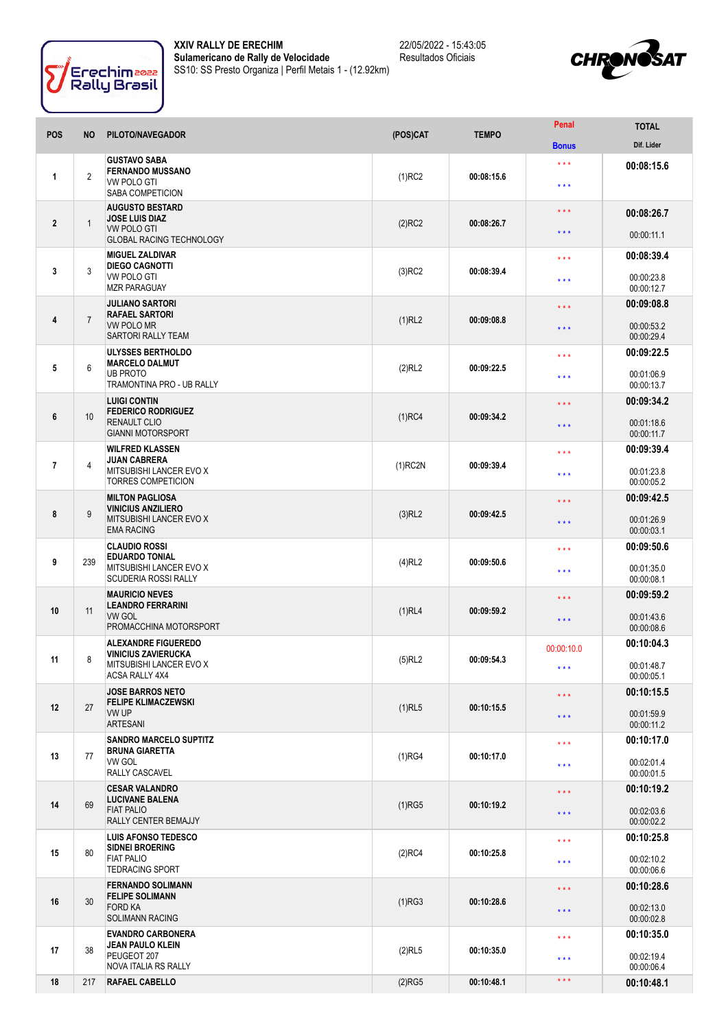



| <b>POS</b>     | NO.            | PILOTO/NAVEGADOR                                                                                         | (POS)CAT   | <b>TEMPO</b> | Penal               | <b>TOTAL</b>             |
|----------------|----------------|----------------------------------------------------------------------------------------------------------|------------|--------------|---------------------|--------------------------|
|                |                |                                                                                                          |            |              | <b>Bonus</b>        | Dif. Lider               |
| 1              | $\overline{2}$ | <b>GUSTAVO SABA</b><br><b>FERNANDO MUSSANO</b><br><b>VW POLO GTI</b><br>SABA COMPETICION                 | $(1)$ RC2  | 00:08:15.6   | * * *<br>$***$      | 00:08:15.6               |
| $\overline{2}$ |                | <b>AUGUSTO BESTARD</b><br><b>JOSE LUIS DIAZ</b><br><b>VW POLO GTI</b><br><b>GLOBAL RACING TECHNOLOGY</b> |            |              | $\star \star \star$ | 00:08:26.7               |
|                | $\mathbf{1}$   |                                                                                                          | $(2)$ RC2  | 00:08:26.7   | $\star \star \star$ | 00:00:11.1               |
|                |                | <b>MIGUEL ZALDIVAR</b><br><b>DIEGO CAGNOTTI</b><br>VW POLO GTI<br><b>MZR PARAGUAY</b>                    | $(3)$ RC2  | 00:08:39.4   | $\star \star \star$ | 00:08:39.4               |
| 3              | 3              |                                                                                                          |            |              | $***$               | 00:00:23.8<br>00:00:12.7 |
|                |                | <b>JULIANO SARTORI</b>                                                                                   | $(1)$ RL2  |              | $\star \star \star$ | 00:09:08.8               |
| 4              | $\overline{7}$ | <b>RAFAEL SARTORI</b><br><b>VW POLO MR</b><br><b>SARTORI RALLY TEAM</b>                                  |            | 00:09:08.8   | $***$               | 00:00:53.2<br>00:00:29.4 |
|                | 6              | <b>ULYSSES BERTHOLDO</b>                                                                                 |            | 00:09:22.5   | $\star \star \star$ | 00:09:22.5               |
| 5              |                | <b>MARCELO DALMUT</b><br><b>UB PROTO</b><br>TRAMONTINA PRO - UB RALLY                                    | (2)RL2     |              | * * *               | 00:01:06.9<br>00:00:13.7 |
|                |                | <b>LUIGI CONTIN</b><br><b>FEDERICO RODRIGUEZ</b>                                                         |            |              | $\star \star \star$ | 00:09:34.2               |
| 6              | 10             | RENAULT CLIO<br><b>GIANNI MOTORSPORT</b>                                                                 | $(1)$ RC4  | 00:09:34.2   | $***$               | 00:01:18.6<br>00:00:11.7 |
|                |                | <b>WILFRED KLASSEN</b>                                                                                   |            |              | $\star \star \star$ | 00:09:39.4               |
| $\overline{7}$ | 4              | JUAN CABRERA<br>MITSUBISHI LANCER EVO X<br><b>TORRES COMPETICION</b>                                     | $(1)$ RC2N | 00:09:39.4   | $***$               | 00:01:23.8<br>00:00:05.2 |
|                |                | <b>MILTON PAGLIOSA</b>                                                                                   |            |              | * * *               | 00:09:42.5               |
| 8              | 9              | <b>VINICIUS ANZILIERO</b><br>MITSUBISHI LANCER EVO X<br><b>EMA RACING</b>                                | $(3)$ RL2  | 00:09:42.5   | * * *               | 00:01:26.9<br>00:00:03.1 |
|                |                | <b>CLAUDIO ROSSI</b><br><b>EDUARDO TONIAL</b><br>MITSUBISHI LANCER EVO X<br><b>SCUDERIA ROSSI RALLY</b>  |            | 00:09:50.6   | $***$               | 00:09:50.6               |
| 9              | 239            |                                                                                                          | $(4)$ RL2  |              | $***$               | 00:01:35.0<br>00:00:08.1 |
|                |                | <b>MAURICIO NEVES</b><br><b>LEANDRO FERRARINI</b>                                                        |            | 00:09:59.2   | $\star \star \star$ | 00:09:59.2               |
| 10             | 11             | <b>VW GOL</b><br>PROMACCHINA MOTORSPORT                                                                  | $(1)$ RL4  |              | $\star \star \star$ | 00:01:43.6<br>00:00:08.6 |
|                |                | <b>ALEXANDRE FIGUEREDO</b><br>VINICIUS ZAVIERUCKA                                                        |            |              | 00:00:10.0          | 00:10:04.3               |
| 11             | 8              | MITSUBISHI LANCER EVO X<br>ACSA RALLY 4X4                                                                | $(5)$ RL2  | 00:09:54.3   | * * *               | 00:01:48.7<br>00:00:05.1 |
|                |                | <b>JOSE BARROS NETO</b><br><b>FELIPE KLIMACZEWSKI</b>                                                    |            |              | $\star\star\star$   | 00:10:15.5               |
| 12             | 27             | VW UP<br><b>ARTESANI</b>                                                                                 | $(1)$ RL5  | 00:10:15.5   | $\star\star\star$   | 00:01:59.9<br>00:00:11.2 |
|                | 77             | <b>SANDRO MARCELO SUPTITZ</b><br><b>BRUNA GIARETTA</b><br>VW GOL<br>RALLY CASCAVEL                       |            | 00:10:17.0   | $***$               | 00:10:17.0               |
| 13             |                |                                                                                                          | (1)RG4     |              | $***$               | 00:02:01.4<br>00:00:01.5 |
|                |                | <b>CESAR VALANDRO</b><br><b>LUCIVANE BALENA</b><br><b>FIAT PALIO</b><br>RALLY CENTER BEMAJJY             | $(1)$ RG5  | 00:10:19.2   | $***$               | 00:10:19.2               |
| 14             | 69             |                                                                                                          |            |              | $\star \star \star$ | 00:02:03.6<br>00:00:02.2 |
|                |                | <b>LUIS AFONSO TEDESCO</b><br><b>SIDNEI BROERING</b><br><b>FIAT PALIO</b><br><b>TEDRACING SPORT</b>      | $(2)$ RC4  | 00:10:25.8   | $\star \star \star$ | 00:10:25.8               |
| 15             | 80             |                                                                                                          |            |              | $***$               | 00:02:10.2<br>00:00:06.6 |
|                | 30             | <b>FERNANDO SOLIMANN</b><br><b>FELIPE SOLIMANN</b><br><b>FORD KA</b><br><b>SOLIMANN RACING</b>           | (1)RG3     | 00:10:28.6   | $\star \star \star$ | 00:10:28.6               |
| 16             |                |                                                                                                          |            |              | $\star\star\star$   | 00:02:13.0<br>00:00:02.8 |
|                |                | <b>EVANDRO CARBONERA</b><br><b>JEAN PAULO KLEIN</b><br>PEUGEOT 207<br>NOVA ITALIA RS RALLY               | $(2)$ RL5  | 00:10:35.0   | $\star \star \star$ | 00:10:35.0               |
| 17             | 38             |                                                                                                          |            |              | * * *               | 00:02:19.4<br>00:00:06.4 |
| 18             | 217            | <b>RAFAEL CABELLO</b>                                                                                    | $(2)$ RG5  | 00:10:48.1   | $\star \star \star$ | 00:10:48.1               |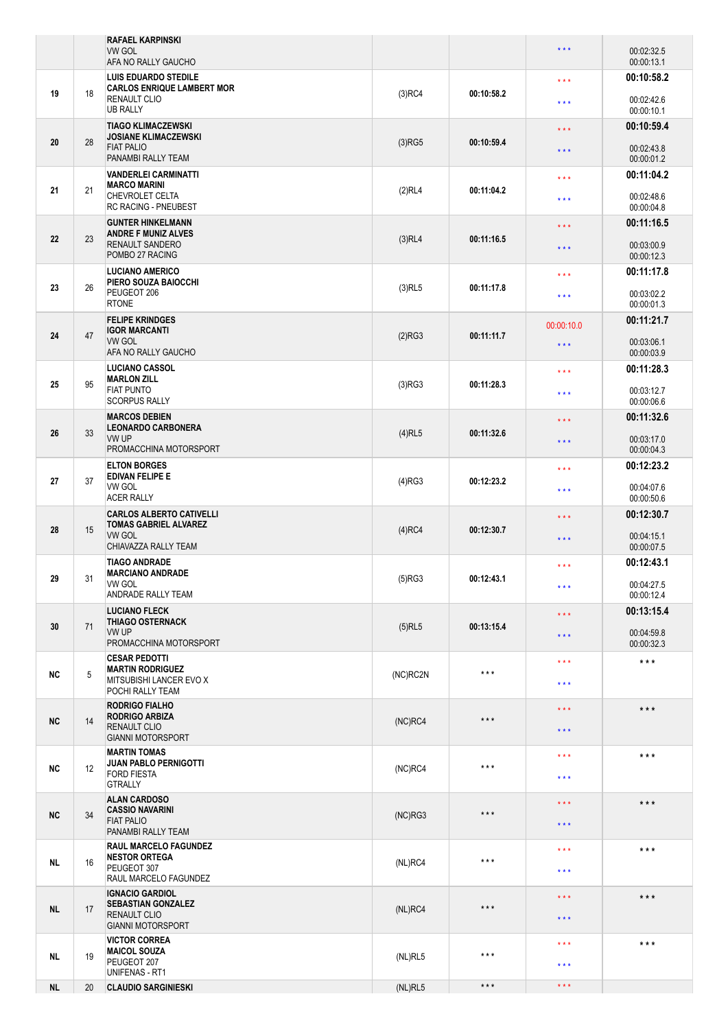|           |    | <b>RAFAEL KARPINSKI</b><br><b>VW GOL</b>                                                                   |            |                   | $\star$ $\star$ $\star$                            | 00:02:32.5                             |
|-----------|----|------------------------------------------------------------------------------------------------------------|------------|-------------------|----------------------------------------------------|----------------------------------------|
|           |    | AFA NO RALLY GAUCHO                                                                                        |            |                   |                                                    | 00:00:13.1                             |
| 19        | 18 | <b>LUIS EDUARDO STEDILE</b><br><b>CARLOS ENRIQUE LAMBERT MOR</b><br><b>RENAULT CLIO</b><br><b>UB RALLY</b> | $(3)$ RC4  | 00:10:58.2        | $***$<br>$\star \star \star$                       | 00:10:58.2<br>00:02:42.6<br>00:00:10.1 |
| 20        | 28 | <b>TIAGO KLIMACZEWSKI</b><br><b>JOSIANE KLIMACZEWSKI</b><br><b>FIAT PALIO</b><br>PANAMBI RALLY TEAM        | (3)RG5     | 00:10:59.4        | $***$                                              | 00:10:59.4<br>00:02:43.8               |
|           |    |                                                                                                            |            |                   | $***$                                              | 00:00:01.2                             |
| 21        | 21 | <b>VANDERLEI CARMINATTI</b><br><b>MARCO MARINI</b><br>CHEVROLET CELTA<br><b>RC RACING - PNEUBEST</b>       | (2)RL4     | 00:11:04.2        | $\star \star \star$<br>$\star$ $\star$ $\star$     | 00:11:04.2<br>00:02:48.6<br>00:00:04.8 |
| 22        | 23 | <b>GUNTER HINKELMANN</b><br><b>ANDRE F MUNIZ ALVES</b><br>RENAULT SANDERO                                  | $(3)$ RL4  | 00:11:16.5        | $\star \star \star$<br>* * *                       | 00:11:16.5<br>00:03:00.9               |
|           |    | POMBO 27 RACING<br>LUCIANO AMERICO                                                                         |            |                   |                                                    | 00:00:12.3<br>00:11:17.8               |
| 23        | 26 | PIERO SOUZA BAIOCCHI<br>PEUGEOT 206<br><b>RTONE</b>                                                        | $(3)$ RL5  | 00:11:17.8        | $\star \star \star$<br>$\star \star \star$         | 00:03:02.2<br>00:00:01.3               |
| 24        | 47 | <b>FELIPE KRINDGES</b><br><b>IGOR MARCANTI</b><br><b>VW GOL</b>                                            | (2)RG3     | 00:11:11.7        | 00:00:10.0<br>$\star \star \star$                  | 00:11:21.7<br>00:03:06.1               |
|           |    | AFA NO RALLY GAUCHO                                                                                        |            |                   |                                                    | 00:00:03.9                             |
| 25        | 95 | <b>LUCIANO CASSOL</b><br><b>MARLON ZILL</b><br><b>FIAT PUNTO</b><br><b>SCORPUS RALLY</b>                   | (3)RG3     | 00:11:28.3        | $\star \star \star$<br>$\star \star \star$         | 00:11:28.3<br>00:03:12.7<br>00:00:06.6 |
|           |    | <b>MARCOS DEBIEN</b>                                                                                       |            |                   | $***$                                              | 00:11:32.6                             |
| 26        | 33 | <b>LEONARDO CARBONERA</b><br>VW UP<br>PROMACCHINA MOTORSPORT                                               | $(4)$ RL5  | 00:11:32.6        | $\star$ $\star$ $\star$                            | 00:03:17.0<br>00:00:04.3               |
|           |    | <b>ELTON BORGES</b><br><b>EDIVAN FELIPE E</b><br>VW GOL<br><b>ACER RALLY</b>                               | $(4)$ RG3  | 00:12:23.2        | $\star \star \star$                                | 00:12:23.2                             |
| 27        | 37 |                                                                                                            |            |                   | $\star \star \star$                                | 00:04:07.6<br>00:00:50.6               |
| 28        | 15 | <b>CARLOS ALBERTO CATIVELLI</b><br><b>TOMAS GABRIEL ALVAREZ</b><br><b>VW GOL</b>                           | $(4)$ RC4  | 00:12:30.7        | $***$<br>$***$                                     | 00:12:30.7<br>00:04:15.1               |
|           |    | CHIAVAZZA RALLY TEAM                                                                                       |            |                   |                                                    | 00:00:07.5                             |
| 29        | 31 | <b>TIAGO ANDRADE</b><br><b>MARCIANO ANDRADE</b><br>VW GOL<br>ANDRADE RALLY TEAM                            | (5)RG3     | 00:12:43.1        | $* * *$<br>$\star$ $\star$ $\star$                 | 00:12:43.1<br>00:04:27.5<br>00:00:12.4 |
|           |    | <b>LUCIANO FLECK</b>                                                                                       |            |                   | $\star$ $\star$ $\star$                            | 00:13:15.4                             |
| 30        | 71 | <b>THIAGO OSTERNACK</b><br>VW UP<br>PROMACCHINA MOTORSPORT                                                 | $(5)$ RL5  | 00:13:15.4        | $\star$ $\star$ $\star$                            | 00:04:59.8<br>00:00:32.3               |
|           |    | <b>CESAR PEDOTTI</b><br><b>MARTIN RODRIGUEZ</b>                                                            |            | $***$             | $\star$ $\star$ $\star$                            | $\star$ $\star$ $\star$                |
| <b>NC</b> | 5  | MITSUBISHI LANCER EVO X<br>POCHI RALLY TEAM                                                                | (NC)RC2N   |                   | $\star$ $\star$ $\star$                            |                                        |
| <b>NC</b> | 14 | <b>RODRIGO FIALHO</b><br><b>RODRIGO ARBIZA</b><br><b>RENAULT CLIO</b><br><b>GIANNI MOTORSPORT</b>          | $(NC)$ RC4 | $\star\star\star$ | $\star$ $\star$ $\star$                            | $***$                                  |
|           |    |                                                                                                            |            |                   | $***$                                              |                                        |
| <b>NC</b> | 12 | <b>MARTIN TOMAS</b><br><b>JUAN PABLO PERNIGOTTI</b><br><b>FORD FIESTA</b><br><b>GTRALLY</b>                | (NC)RC4    | $***$             | $***$<br>$\star$ $\star$ $\star$                   | $***$                                  |
| <b>NC</b> | 34 | <b>ALAN CARDOSO</b><br><b>CASSIO NAVARINI</b><br><b>FIAT PALIO</b><br>PANAMBI RALLY TEAM                   | (NC)RG3    | $***$             | $\star$ $\star$ $\star$<br>$\star$ $\star$ $\star$ | $***$                                  |
|           |    | <b>RAUL MARCELO FAGUNDEZ</b>                                                                               |            |                   | $\star$ $\star$ $\star$                            | $***$                                  |
| <b>NL</b> | 16 | <b>NESTOR ORTEGA</b><br>PEUGEOT 307<br>RAUL MARCELO FAGUNDEZ                                               | (NL)RC4    | $***$             | $***$                                              |                                        |
| <b>NL</b> | 17 | <b>IGNACIO GARDIOL</b><br><b>SEBASTIAN GONZALEZ</b><br><b>RENAULT CLIO</b><br><b>GIANNI MOTORSPORT</b>     | (NL)RC4    | $\star\star\star$ | $\star$ $\star$ $\star$<br>$\star\star\star$       | $***$                                  |
| NL        | 19 | <b>VICTOR CORREA</b><br><b>MAICOL SOUZA</b><br>PEUGEOT 207                                                 | (NL)RL5    | $***$             | $\star \star \star$<br>$\star$ $\star$ $\star$     | $***$                                  |
| <b>NL</b> | 20 | UNIFENAS - RT1<br><b>CLAUDIO SARGINIESKI</b>                                                               | (NL)RL5    | $\star\star\star$ | $\star$ $\star$ $\star$                            |                                        |